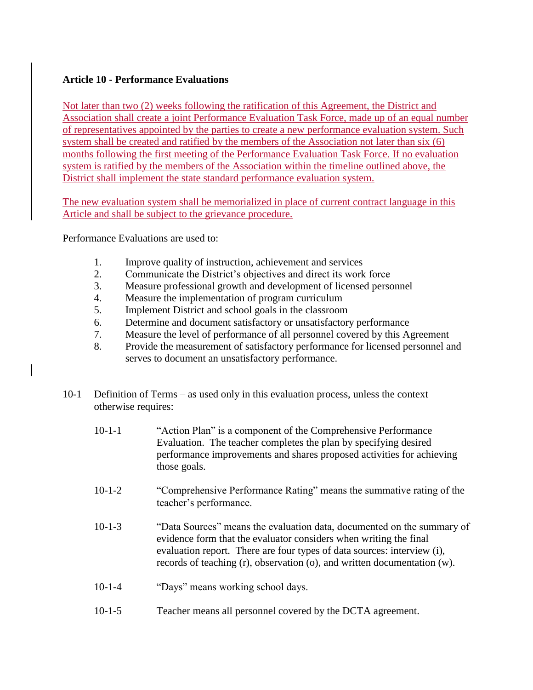## **Article 10 - Performance Evaluations**

Not later than two (2) weeks following the ratification of this Agreement, the District and Association shall create a joint Performance Evaluation Task Force, made up of an equal number of representatives appointed by the parties to create a new performance evaluation system. Such system shall be created and ratified by the members of the Association not later than six (6) months following the first meeting of the Performance Evaluation Task Force. If no evaluation system is ratified by the members of the Association within the timeline outlined above, the District shall implement the state standard performance evaluation system.

The new evaluation system shall be memorialized in place of current contract language in this Article and shall be subject to the grievance procedure.

Performance Evaluations are used to:

- 1. Improve quality of instruction, achievement and services
- 2. Communicate the District's objectives and direct its work force
- 3. Measure professional growth and development of licensed personnel
- 4. Measure the implementation of program curriculum
- 5. Implement District and school goals in the classroom
- 6. Determine and document satisfactory or unsatisfactory performance
- 7. Measure the level of performance of all personnel covered by this Agreement
- 8. Provide the measurement of satisfactory performance for licensed personnel and serves to document an unsatisfactory performance.
- 10-1 Definition of Terms as used only in this evaluation process, unless the context otherwise requires:
	- 10-1-1 "Action Plan" is a component of the Comprehensive Performance Evaluation. The teacher completes the plan by specifying desired performance improvements and shares proposed activities for achieving those goals.
	- 10-1-2 "Comprehensive Performance Rating" means the summative rating of the teacher's performance.
	- 10-1-3 "Data Sources" means the evaluation data, documented on the summary of evidence form that the evaluator considers when writing the final evaluation report. There are four types of data sources: interview (i), records of teaching (r), observation (o), and written documentation (w).
	- 10-1-4 "Days" means working school days.
	- 10-1-5 Teacher means all personnel covered by the DCTA agreement.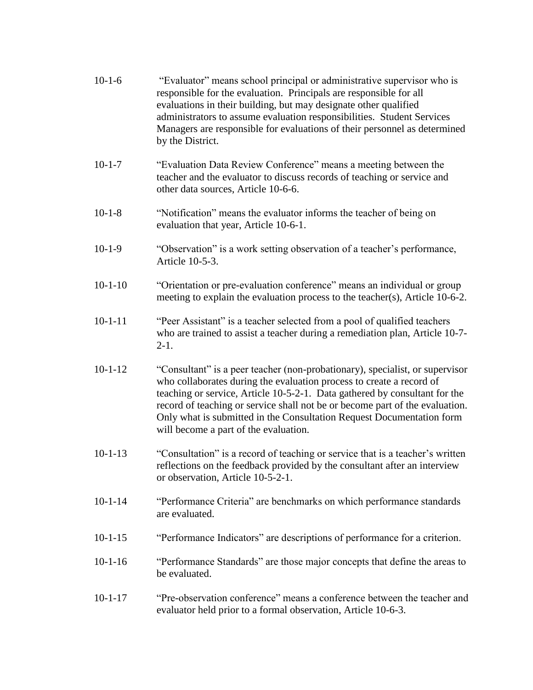| $10-1-6$ | "Evaluator" means school principal or administrative supervisor who is    |
|----------|---------------------------------------------------------------------------|
|          | responsible for the evaluation. Principals are responsible for all        |
|          | evaluations in their building, but may designate other qualified          |
|          | administrators to assume evaluation responsibilities. Student Services    |
|          | Managers are responsible for evaluations of their personnel as determined |
|          | by the District.                                                          |

- 10-1-7 "Evaluation Data Review Conference" means a meeting between the teacher and the evaluator to discuss records of teaching or service and other data sources, Article 10-6-6.
- 10-1-8 "Notification" means the evaluator informs the teacher of being on evaluation that year, Article 10-6-1.
- 10-1-9 "Observation" is a work setting observation of a teacher's performance, Article 10-5-3.
- 10-1-10 "Orientation or pre-evaluation conference" means an individual or group meeting to explain the evaluation process to the teacher(s), Article 10-6-2.
- 10-1-11 "Peer Assistant" is a teacher selected from a pool of qualified teachers who are trained to assist a teacher during a remediation plan, Article 10-7- 2-1.
- 10-1-12 "Consultant" is a peer teacher (non-probationary), specialist, or supervisor who collaborates during the evaluation process to create a record of teaching or service, Article 10-5-2-1. Data gathered by consultant for the record of teaching or service shall not be or become part of the evaluation. Only what is submitted in the Consultation Request Documentation form will become a part of the evaluation.
- 10-1-13 "Consultation" is a record of teaching or service that is a teacher's written reflections on the feedback provided by the consultant after an interview or observation, Article 10-5-2-1.
- 10-1-14 "Performance Criteria" are benchmarks on which performance standards are evaluated.
- 10-1-15 "Performance Indicators" are descriptions of performance for a criterion.
- 10-1-16 "Performance Standards" are those major concepts that define the areas to be evaluated.
- 10-1-17 "Pre-observation conference" means a conference between the teacher and evaluator held prior to a formal observation, Article 10-6-3.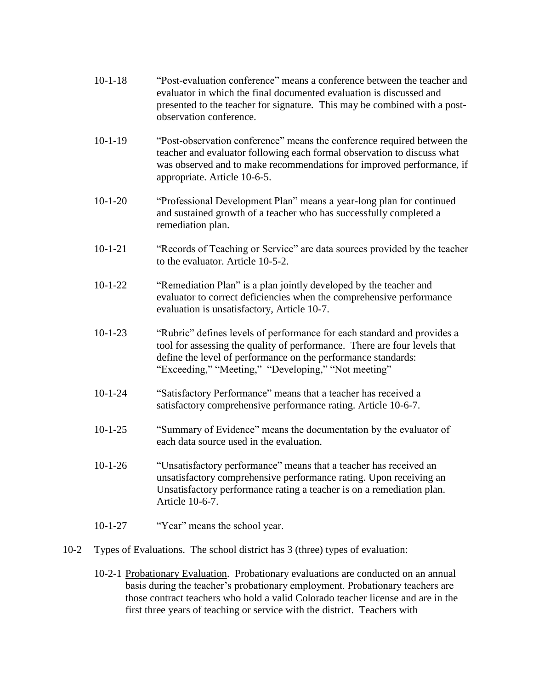- 10-1-18 "Post-evaluation conference" means a conference between the teacher and evaluator in which the final documented evaluation is discussed and presented to the teacher for signature. This may be combined with a postobservation conference.
- 10-1-19 "Post-observation conference" means the conference required between the teacher and evaluator following each formal observation to discuss what was observed and to make recommendations for improved performance, if appropriate. Article 10-6-5.
- 10-1-20 "Professional Development Plan" means a year-long plan for continued and sustained growth of a teacher who has successfully completed a remediation plan.
- 10-1-21 "Records of Teaching or Service" are data sources provided by the teacher to the evaluator. Article 10-5-2.
- 10-1-22 "Remediation Plan" is a plan jointly developed by the teacher and evaluator to correct deficiencies when the comprehensive performance evaluation is unsatisfactory, Article 10-7.
- 10-1-23 "Rubric" defines levels of performance for each standard and provides a tool for assessing the quality of performance. There are four levels that define the level of performance on the performance standards: "Exceeding," "Meeting," "Developing," "Not meeting"
- 10-1-24 "Satisfactory Performance" means that a teacher has received a satisfactory comprehensive performance rating. Article 10-6-7.
- 10-1-25 "Summary of Evidence" means the documentation by the evaluator of each data source used in the evaluation.
- 10-1-26 "Unsatisfactory performance" means that a teacher has received an unsatisfactory comprehensive performance rating. Upon receiving an Unsatisfactory performance rating a teacher is on a remediation plan. Article 10-6-7.
- 10-1-27 "Year" means the school year.
- 10-2 Types of Evaluations. The school district has 3 (three) types of evaluation:
	- 10-2-1 Probationary Evaluation. Probationary evaluations are conducted on an annual basis during the teacher's probationary employment. Probationary teachers are those contract teachers who hold a valid Colorado teacher license and are in the first three years of teaching or service with the district. Teachers with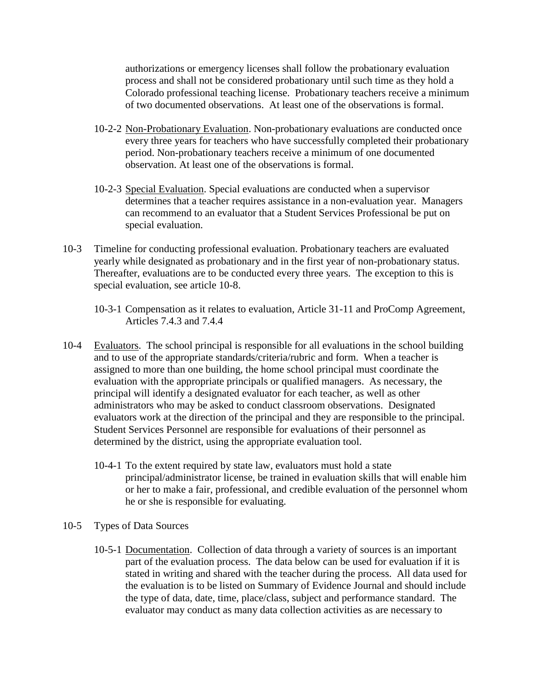authorizations or emergency licenses shall follow the probationary evaluation process and shall not be considered probationary until such time as they hold a Colorado professional teaching license. Probationary teachers receive a minimum of two documented observations. At least one of the observations is formal.

- 10-2-2 Non-Probationary Evaluation. Non-probationary evaluations are conducted once every three years for teachers who have successfully completed their probationary period. Non-probationary teachers receive a minimum of one documented observation. At least one of the observations is formal.
- 10-2-3 Special Evaluation. Special evaluations are conducted when a supervisor determines that a teacher requires assistance in a non-evaluation year. Managers can recommend to an evaluator that a Student Services Professional be put on special evaluation.
- 10-3 Timeline for conducting professional evaluation. Probationary teachers are evaluated yearly while designated as probationary and in the first year of non-probationary status. Thereafter, evaluations are to be conducted every three years. The exception to this is special evaluation, see article 10-8.
	- 10-3-1 Compensation as it relates to evaluation, Article 31-11 and ProComp Agreement, Articles 7.4.3 and 7.4.4
- 10-4 Evaluators. The school principal is responsible for all evaluations in the school building and to use of the appropriate standards/criteria/rubric and form. When a teacher is assigned to more than one building, the home school principal must coordinate the evaluation with the appropriate principals or qualified managers. As necessary, the principal will identify a designated evaluator for each teacher, as well as other administrators who may be asked to conduct classroom observations. Designated evaluators work at the direction of the principal and they are responsible to the principal. Student Services Personnel are responsible for evaluations of their personnel as determined by the district, using the appropriate evaluation tool.
	- 10-4-1 To the extent required by state law, evaluators must hold a state principal/administrator license, be trained in evaluation skills that will enable him or her to make a fair, professional, and credible evaluation of the personnel whom he or she is responsible for evaluating.
- 10-5 Types of Data Sources
	- 10-5-1 Documentation. Collection of data through a variety of sources is an important part of the evaluation process. The data below can be used for evaluation if it is stated in writing and shared with the teacher during the process. All data used for the evaluation is to be listed on Summary of Evidence Journal and should include the type of data, date, time, place/class, subject and performance standard. The evaluator may conduct as many data collection activities as are necessary to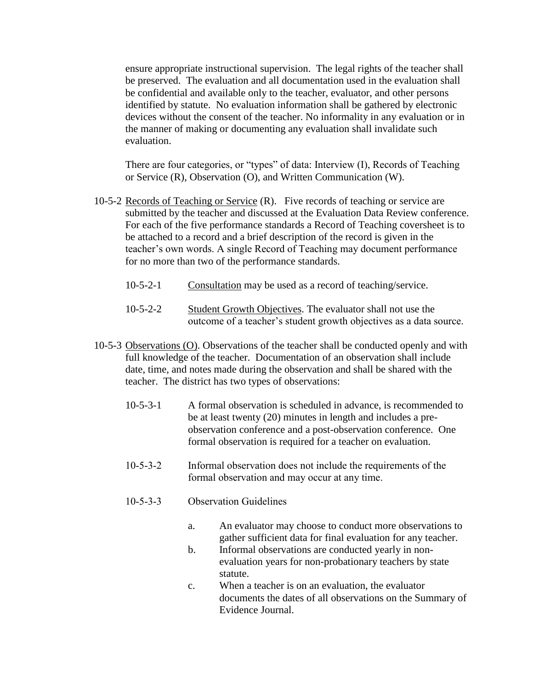ensure appropriate instructional supervision. The legal rights of the teacher shall be preserved. The evaluation and all documentation used in the evaluation shall be confidential and available only to the teacher, evaluator, and other persons identified by statute. No evaluation information shall be gathered by electronic devices without the consent of the teacher. No informality in any evaluation or in the manner of making or documenting any evaluation shall invalidate such evaluation.

There are four categories, or "types" of data: Interview (I), Records of Teaching or Service (R), Observation (O), and Written Communication (W).

- 10-5-2 Records of Teaching or Service (R). Five records of teaching or service are submitted by the teacher and discussed at the Evaluation Data Review conference. For each of the five performance standards a Record of Teaching coversheet is to be attached to a record and a brief description of the record is given in the teacher's own words. A single Record of Teaching may document performance for no more than two of the performance standards.
	- 10-5-2-1 Consultation may be used as a record of teaching/service.
	- 10-5-2-2 Student Growth Objectives. The evaluator shall not use the outcome of a teacher's student growth objectives as a data source.
- 10-5-3 Observations (O). Observations of the teacher shall be conducted openly and with full knowledge of the teacher. Documentation of an observation shall include date, time, and notes made during the observation and shall be shared with the teacher. The district has two types of observations:
	- 10-5-3-1 A formal observation is scheduled in advance, is recommended to be at least twenty (20) minutes in length and includes a preobservation conference and a post-observation conference. One formal observation is required for a teacher on evaluation.
	- 10-5-3-2 Informal observation does not include the requirements of the formal observation and may occur at any time.
	- 10-5-3-3 Observation Guidelines
		- a. An evaluator may choose to conduct more observations to gather sufficient data for final evaluation for any teacher.
		- b. Informal observations are conducted yearly in nonevaluation years for non-probationary teachers by state statute.
		- c. When a teacher is on an evaluation, the evaluator documents the dates of all observations on the Summary of Evidence Journal.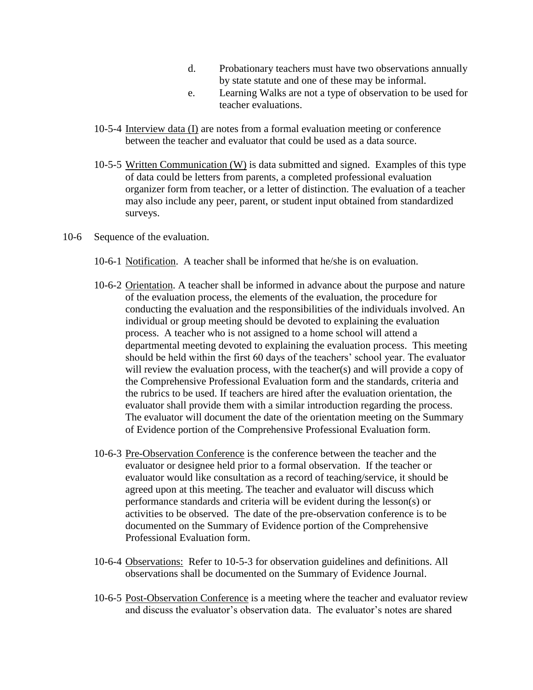- d. Probationary teachers must have two observations annually by state statute and one of these may be informal.
- e. Learning Walks are not a type of observation to be used for teacher evaluations.
- 10-5-4 Interview data (I) are notes from a formal evaluation meeting or conference between the teacher and evaluator that could be used as a data source.
- 10-5-5 Written Communication (W) is data submitted and signed. Examples of this type of data could be letters from parents, a completed professional evaluation organizer form from teacher, or a letter of distinction. The evaluation of a teacher may also include any peer, parent, or student input obtained from standardized surveys.
- 10-6 Sequence of the evaluation.
	- 10-6-1 Notification. A teacher shall be informed that he/she is on evaluation.
	- 10-6-2 Orientation. A teacher shall be informed in advance about the purpose and nature of the evaluation process, the elements of the evaluation, the procedure for conducting the evaluation and the responsibilities of the individuals involved. An individual or group meeting should be devoted to explaining the evaluation process. A teacher who is not assigned to a home school will attend a departmental meeting devoted to explaining the evaluation process. This meeting should be held within the first 60 days of the teachers' school year. The evaluator will review the evaluation process, with the teacher(s) and will provide a copy of the Comprehensive Professional Evaluation form and the standards, criteria and the rubrics to be used. If teachers are hired after the evaluation orientation, the evaluator shall provide them with a similar introduction regarding the process. The evaluator will document the date of the orientation meeting on the Summary of Evidence portion of the Comprehensive Professional Evaluation form.
	- 10-6-3 Pre-Observation Conference is the conference between the teacher and the evaluator or designee held prior to a formal observation. If the teacher or evaluator would like consultation as a record of teaching/service, it should be agreed upon at this meeting. The teacher and evaluator will discuss which performance standards and criteria will be evident during the lesson(s) or activities to be observed. The date of the pre-observation conference is to be documented on the Summary of Evidence portion of the Comprehensive Professional Evaluation form.
	- 10-6-4 Observations: Refer to 10-5-3 for observation guidelines and definitions. All observations shall be documented on the Summary of Evidence Journal.
	- 10-6-5 Post-Observation Conference is a meeting where the teacher and evaluator review and discuss the evaluator's observation data. The evaluator's notes are shared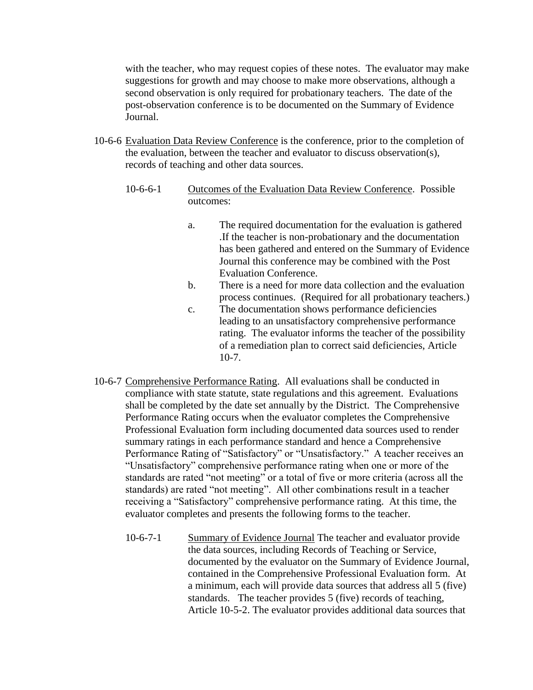with the teacher, who may request copies of these notes. The evaluator may make suggestions for growth and may choose to make more observations, although a second observation is only required for probationary teachers. The date of the post-observation conference is to be documented on the Summary of Evidence Journal.

- 10-6-6 Evaluation Data Review Conference is the conference, prior to the completion of the evaluation, between the teacher and evaluator to discuss observation(s), records of teaching and other data sources.
	- 10-6-6-1 Outcomes of the Evaluation Data Review Conference. Possible outcomes:
		- a. The required documentation for the evaluation is gathered .If the teacher is non-probationary and the documentation has been gathered and entered on the Summary of Evidence Journal this conference may be combined with the Post Evaluation Conference.
		- b. There is a need for more data collection and the evaluation process continues. (Required for all probationary teachers.)
		- c. The documentation shows performance deficiencies leading to an unsatisfactory comprehensive performance rating. The evaluator informs the teacher of the possibility of a remediation plan to correct said deficiencies, Article 10-7.
- 10-6-7 Comprehensive Performance Rating. All evaluations shall be conducted in compliance with state statute, state regulations and this agreement. Evaluations shall be completed by the date set annually by the District. The Comprehensive Performance Rating occurs when the evaluator completes the Comprehensive Professional Evaluation form including documented data sources used to render summary ratings in each performance standard and hence a Comprehensive Performance Rating of "Satisfactory" or "Unsatisfactory." A teacher receives an "Unsatisfactory" comprehensive performance rating when one or more of the standards are rated "not meeting" or a total of five or more criteria (across all the standards) are rated "not meeting". All other combinations result in a teacher receiving a "Satisfactory" comprehensive performance rating. At this time, the evaluator completes and presents the following forms to the teacher.
	- 10-6-7-1 Summary of Evidence Journal The teacher and evaluator provide the data sources, including Records of Teaching or Service, documented by the evaluator on the Summary of Evidence Journal, contained in the Comprehensive Professional Evaluation form. At a minimum, each will provide data sources that address all 5 (five) standards. The teacher provides 5 (five) records of teaching, Article 10-5-2. The evaluator provides additional data sources that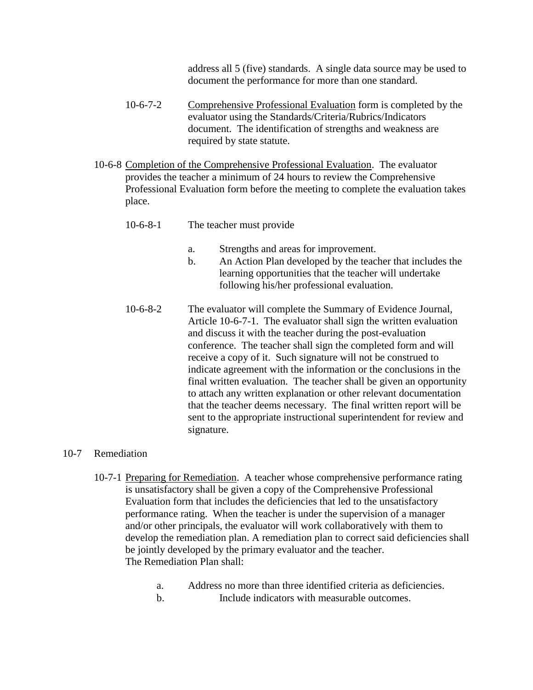address all 5 (five) standards. A single data source may be used to document the performance for more than one standard.

- 10-6-7-2 Comprehensive Professional Evaluation form is completed by the evaluator using the Standards/Criteria/Rubrics/Indicators document. The identification of strengths and weakness are required by state statute.
- 10-6-8 Completion of the Comprehensive Professional Evaluation. The evaluator provides the teacher a minimum of 24 hours to review the Comprehensive Professional Evaluation form before the meeting to complete the evaluation takes place.
	- 10-6-8-1 The teacher must provide
		- a. Strengths and areas for improvement.
		- b. An Action Plan developed by the teacher that includes the learning opportunities that the teacher will undertake following his/her professional evaluation.
	- 10-6-8-2 The evaluator will complete the Summary of Evidence Journal, Article 10-6-7-1. The evaluator shall sign the written evaluation and discuss it with the teacher during the post-evaluation conference. The teacher shall sign the completed form and will receive a copy of it. Such signature will not be construed to indicate agreement with the information or the conclusions in the final written evaluation. The teacher shall be given an opportunity to attach any written explanation or other relevant documentation that the teacher deems necessary. The final written report will be sent to the appropriate instructional superintendent for review and signature.

## 10-7 Remediation

- 10-7-1 Preparing for Remediation. A teacher whose comprehensive performance rating is unsatisfactory shall be given a copy of the Comprehensive Professional Evaluation form that includes the deficiencies that led to the unsatisfactory performance rating. When the teacher is under the supervision of a manager and/or other principals, the evaluator will work collaboratively with them to develop the remediation plan. A remediation plan to correct said deficiencies shall be jointly developed by the primary evaluator and the teacher. The Remediation Plan shall:
	- a. Address no more than three identified criteria as deficiencies. b. Include indicators with measurable outcomes.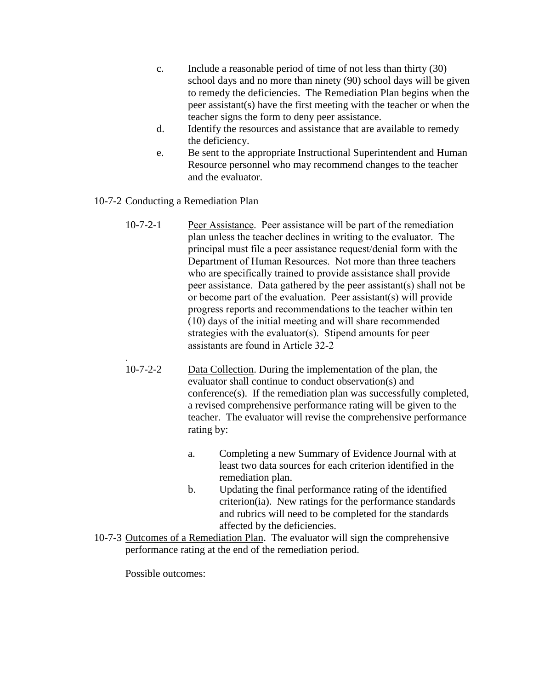- c. Include a reasonable period of time of not less than thirty (30) school days and no more than ninety (90) school days will be given to remedy the deficiencies. The Remediation Plan begins when the peer assistant(s) have the first meeting with the teacher or when the teacher signs the form to deny peer assistance.
- d. Identify the resources and assistance that are available to remedy the deficiency.
- e. Be sent to the appropriate Instructional Superintendent and Human Resource personnel who may recommend changes to the teacher and the evaluator.
- 10-7-2 Conducting a Remediation Plan
	- 10-7-2-1 Peer Assistance. Peer assistance will be part of the remediation plan unless the teacher declines in writing to the evaluator. The principal must file a peer assistance request/denial form with the Department of Human Resources. Not more than three teachers who are specifically trained to provide assistance shall provide peer assistance. Data gathered by the peer assistant(s) shall not be or become part of the evaluation. Peer assistant(s) will provide progress reports and recommendations to the teacher within ten (10) days of the initial meeting and will share recommended strategies with the evaluator(s). Stipend amounts for peer assistants are found in Article 32-2
	- 10-7-2-2 Data Collection. During the implementation of the plan, the evaluator shall continue to conduct observation(s) and conference(s). If the remediation plan was successfully completed, a revised comprehensive performance rating will be given to the teacher. The evaluator will revise the comprehensive performance rating by:
		- a. Completing a new Summary of Evidence Journal with at least two data sources for each criterion identified in the remediation plan.
		- b. Updating the final performance rating of the identified criterion(ia). New ratings for the performance standards and rubrics will need to be completed for the standards affected by the deficiencies.
- 10-7-3 Outcomes of a Remediation Plan. The evaluator will sign the comprehensive performance rating at the end of the remediation period.

Possible outcomes:

.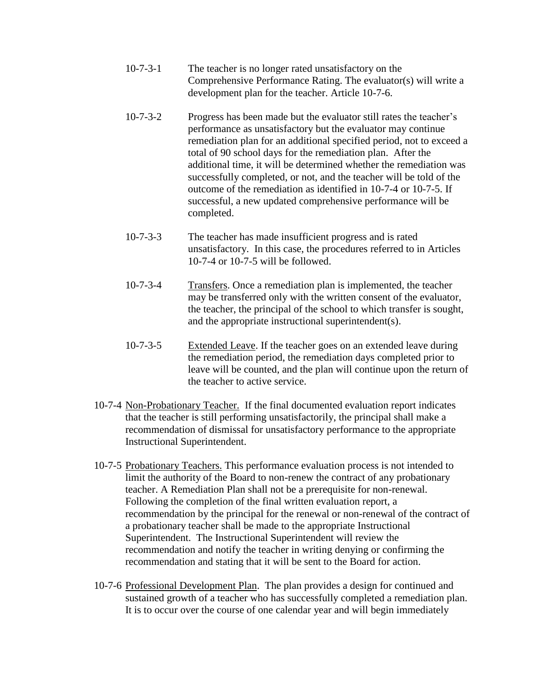- 10-7-3-1 The teacher is no longer rated unsatisfactory on the Comprehensive Performance Rating. The evaluator(s) will write a development plan for the teacher. Article 10-7-6.
- 10-7-3-2 Progress has been made but the evaluator still rates the teacher's performance as unsatisfactory but the evaluator may continue remediation plan for an additional specified period, not to exceed a total of 90 school days for the remediation plan. After the additional time, it will be determined whether the remediation was successfully completed, or not, and the teacher will be told of the outcome of the remediation as identified in 10-7-4 or 10-7-5. If successful, a new updated comprehensive performance will be completed.
- 10-7-3-3 The teacher has made insufficient progress and is rated unsatisfactory. In this case, the procedures referred to in Articles 10-7-4 or 10-7-5 will be followed.
- 10-7-3-4 Transfers. Once a remediation plan is implemented, the teacher may be transferred only with the written consent of the evaluator, the teacher, the principal of the school to which transfer is sought, and the appropriate instructional superintendent(s).
- 10-7-3-5 Extended Leave. If the teacher goes on an extended leave during the remediation period, the remediation days completed prior to leave will be counted, and the plan will continue upon the return of the teacher to active service.
- 10-7-4 Non-Probationary Teacher. If the final documented evaluation report indicates that the teacher is still performing unsatisfactorily, the principal shall make a recommendation of dismissal for unsatisfactory performance to the appropriate Instructional Superintendent.
- 10-7-5 Probationary Teachers. This performance evaluation process is not intended to limit the authority of the Board to non-renew the contract of any probationary teacher. A Remediation Plan shall not be a prerequisite for non-renewal. Following the completion of the final written evaluation report, a recommendation by the principal for the renewal or non-renewal of the contract of a probationary teacher shall be made to the appropriate Instructional Superintendent. The Instructional Superintendent will review the recommendation and notify the teacher in writing denying or confirming the recommendation and stating that it will be sent to the Board for action.
- 10-7-6 Professional Development Plan. The plan provides a design for continued and sustained growth of a teacher who has successfully completed a remediation plan. It is to occur over the course of one calendar year and will begin immediately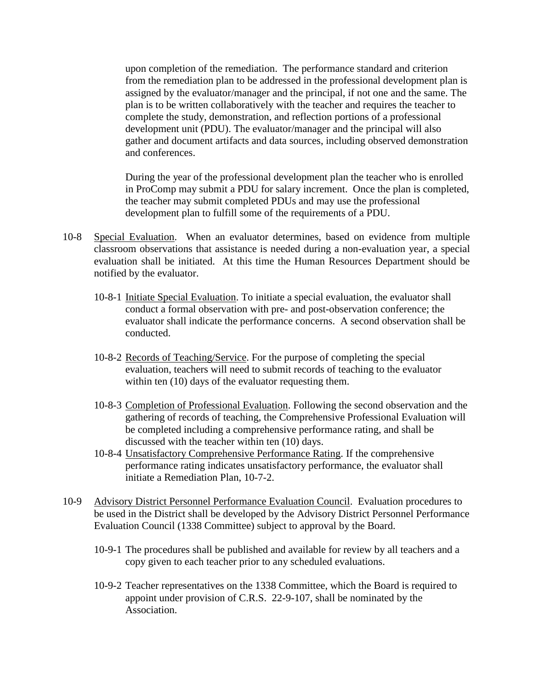upon completion of the remediation. The performance standard and criterion from the remediation plan to be addressed in the professional development plan is assigned by the evaluator/manager and the principal, if not one and the same. The plan is to be written collaboratively with the teacher and requires the teacher to complete the study, demonstration, and reflection portions of a professional development unit (PDU). The evaluator/manager and the principal will also gather and document artifacts and data sources, including observed demonstration and conferences.

During the year of the professional development plan the teacher who is enrolled in ProComp may submit a PDU for salary increment. Once the plan is completed, the teacher may submit completed PDUs and may use the professional development plan to fulfill some of the requirements of a PDU.

- 10-8 Special Evaluation. When an evaluator determines, based on evidence from multiple classroom observations that assistance is needed during a non-evaluation year, a special evaluation shall be initiated. At this time the Human Resources Department should be notified by the evaluator.
	- 10-8-1 Initiate Special Evaluation. To initiate a special evaluation, the evaluator shall conduct a formal observation with pre- and post-observation conference; the evaluator shall indicate the performance concerns. A second observation shall be conducted.
	- 10-8-2 Records of Teaching/Service. For the purpose of completing the special evaluation, teachers will need to submit records of teaching to the evaluator within ten (10) days of the evaluator requesting them.
	- 10-8-3 Completion of Professional Evaluation. Following the second observation and the gathering of records of teaching, the Comprehensive Professional Evaluation will be completed including a comprehensive performance rating, and shall be discussed with the teacher within ten (10) days.
	- 10-8-4 Unsatisfactory Comprehensive Performance Rating. If the comprehensive performance rating indicates unsatisfactory performance, the evaluator shall initiate a Remediation Plan, 10-7-2.
- 10-9 Advisory District Personnel Performance Evaluation Council. Evaluation procedures to be used in the District shall be developed by the Advisory District Personnel Performance Evaluation Council (1338 Committee) subject to approval by the Board.
	- 10-9-1 The procedures shall be published and available for review by all teachers and a copy given to each teacher prior to any scheduled evaluations.
	- 10-9-2 Teacher representatives on the 1338 Committee, which the Board is required to appoint under provision of C.R.S. 22-9-107, shall be nominated by the Association.